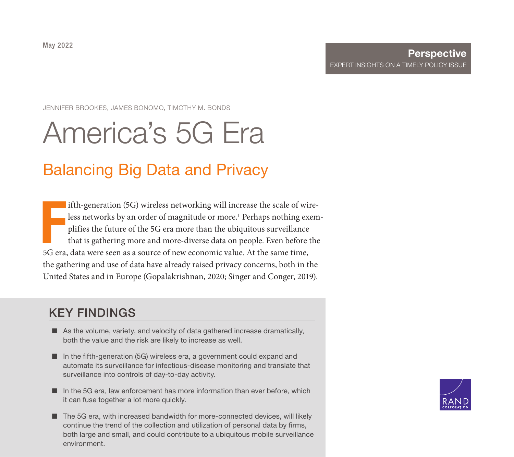JENNIFER BROOKES, JAMES BONOMO, TIMOTHY M. BONDS

# [America's 5G Era](https://www.rand.org/pubs/perspectives/PEA435-5.html)

### Balancing Big Data and Privacy

Francis<br>5G era ifth-generation (5G) wireless networking will increase the scale of wireless networks by an order of magnitude or more.<sup>1</sup> Perhaps nothing exemplifies the future of the 5G era more than the ubiquitous surveillance that is gathering more and more-diverse data on people. Even before the 5G era, data were seen as a source of new economic value. At the same time, the gathering and use of data have already raised privacy concerns, both in the United States and in Europe (Gopalakrishnan, 2020; Singer and Conger, 2019).

### KEY FINDINGS

- As the volume, variety, and velocity of data gathered increase dramatically, both the value and the risk are likely to increase as well.
- In the fifth-generation (5G) wireless era, a government could expand and automate its surveillance for infectious-disease monitoring and translate that surveillance into controls of day-to-day activity.
- In the 5G era, law enforcement has more information than ever before, which it can fuse together a lot more quickly.
- The 5G era, with increased bandwidth for more-connected devices, will likely continue the trend of the collection and utilization of personal data by firms, both large and small, and could contribute to a ubiquitous mobile surveillance environment.

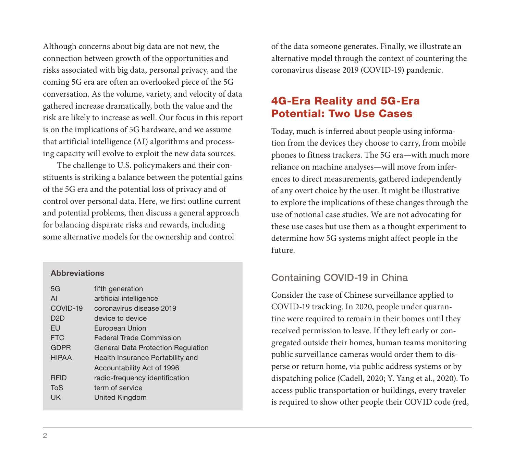Although concerns about big data are not new, the connection between growth of the opportunities and risks associated with big data, personal privacy, and the coming 5G era are often an overlooked piece of the 5G conversation. As the volume, variety, and velocity of data gathered increase dramatically, both the value and the risk are likely to increase as well. Our focus in this report is on the implications of 5G hardware, and we assume that artificial intelligence (AI) algorithms and processing capacity will evolve to exploit the new data sources.

The challenge to U.S. policymakers and their constituents is striking a balance between the potential gains of the 5G era and the potential loss of privacy and of control over personal data. Here, we first outline current and potential problems, then discuss a general approach for balancing disparate risks and rewards, including some alternative models for the ownership and control

#### **Abbreviations**

| 5G               | fifth generation                          |
|------------------|-------------------------------------------|
| AI               | artificial intelligence                   |
| COVID-19         | coronavirus disease 2019                  |
| D <sub>2</sub> D | device to device                          |
| FU               | European Union                            |
| <b>FTC</b>       | Federal Trade Commission                  |
| <b>GDPR</b>      | <b>General Data Protection Regulation</b> |
| <b>HIPAA</b>     | Health Insurance Portability and          |
|                  | Accountability Act of 1996                |
| <b>RFID</b>      | radio-frequency identification            |
| ToS              | term of service                           |
| UK               | United Kingdom                            |
|                  |                                           |

of the data someone generates. Finally, we illustrate an alternative model through the context of countering the coronavirus disease 2019 (COVID-19) pandemic.

#### 4G-Era Reality and 5G-Era Potential: Two Use Cases

Today, much is inferred about people using information from the devices they choose to carry, from mobile phones to fitness trackers. The 5G era—with much more reliance on machine analyses—will move from inferences to direct measurements, gathered independently of any overt choice by the user. It might be illustrative to explore the implications of these changes through the use of notional case studies. We are not advocating for these use cases but use them as a thought experiment to determine how 5G systems might affect people in the future.

#### Containing COVID-19 in China

Consider the case of Chinese surveillance applied to COVID-19 tracking. In 2020, people under quarantine were required to remain in their homes until they received permission to leave. If they left early or congregated outside their homes, human teams monitoring public surveillance cameras would order them to disperse or return home, via public address systems or by dispatching police (Cadell, 2020; Y. Yang et al., 2020). To access public transportation or buildings, every traveler is required to show other people their COVID code (red,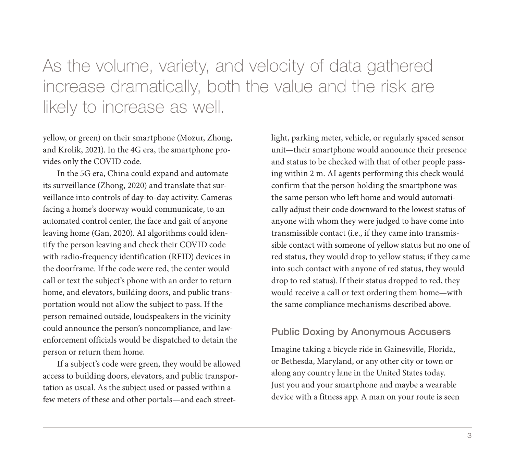As the volume, variety, and velocity of data gathered increase dramatically, both the value and the risk are likely to increase as well.

yellow, or green) on their smartphone (Mozur, Zhong, and Krolik, 2021). In the 4G era, the smartphone provides only the COVID code.

In the 5G era, China could expand and automate its surveillance (Zhong, 2020) and translate that surveillance into controls of day-to-day activity. Cameras facing a home's doorway would communicate, to an automated control center, the face and gait of anyone leaving home (Gan, 2020). AI algorithms could identify the person leaving and check their COVID code with radio-frequency identification (RFID) devices in the doorframe. If the code were red, the center would call or text the subject's phone with an order to return home, and elevators, building doors, and public transportation would not allow the subject to pass. If the person remained outside, loudspeakers in the vicinity could announce the person's noncompliance, and lawenforcement officials would be dispatched to detain the person or return them home.

If a subject's code were green, they would be allowed access to building doors, elevators, and public transportation as usual. As the subject used or passed within a few meters of these and other portals—and each street-

light, parking meter, vehicle, or regularly spaced sensor unit—their smartphone would announce their presence and status to be checked with that of other people passing within 2 m. AI agents performing this check would confirm that the person holding the smartphone was the same person who left home and would automatically adjust their code downward to the lowest status of anyone with whom they were judged to have come into transmissible contact (i.e., if they came into transmissible contact with someone of yellow status but no one of red status, they would drop to yellow status; if they came into such contact with anyone of red status, they would drop to red status). If their status dropped to red, they would receive a call or text ordering them home—with the same compliance mechanisms described above.

#### Public Doxing by Anonymous Accusers

Imagine taking a bicycle ride in Gainesville, Florida, or Bethesda, Maryland, or any other city or town or along any country lane in the United States today. Just you and your smartphone and maybe a wearable device with a fitness app. A man on your route is seen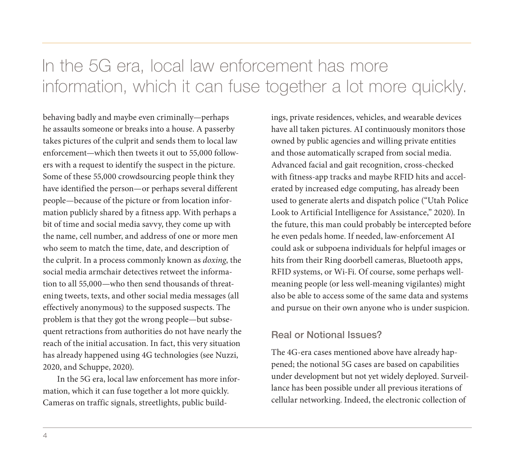# In the 5G era, local law enforcement has more information, which it can fuse together a lot more quickly.

behaving badly and maybe even criminally—perhaps he assaults someone or breaks into a house. A passerby takes pictures of the culprit and sends them to local law enforcement—which then tweets it out to 55,000 followers with a request to identify the suspect in the picture. Some of these 55,000 crowdsourcing people think they have identified the person—or perhaps several different people—because of the picture or from location information publicly shared by a fitness app. With perhaps a bit of time and social media savvy, they come up with the name, cell number, and address of one or more men who seem to match the time, date, and description of the culprit. In a process commonly known as *doxing*, the social media armchair detectives retweet the information to all 55,000—who then send thousands of threatening tweets, texts, and other social media messages (all effectively anonymous) to the supposed suspects. The problem is that they got the wrong people—but subsequent retractions from authorities do not have nearly the reach of the initial accusation. In fact, this very situation has already happened using 4G technologies (see Nuzzi, 2020, and Schuppe, 2020).

In the 5G era, local law enforcement has more information, which it can fuse together a lot more quickly. Cameras on traffic signals, streetlights, public buildings, private residences, vehicles, and wearable devices have all taken pictures. AI continuously monitors those owned by public agencies and willing private entities and those automatically scraped from social media. Advanced facial and gait recognition, cross-checked with fitness-app tracks and maybe RFID hits and accelerated by increased edge computing, has already been used to generate alerts and dispatch police ("Utah Police Look to Artificial Intelligence for Assistance," 2020). In the future, this man could probably be intercepted before he even pedals home. If needed, law-enforcement AI could ask or subpoena individuals for helpful images or hits from their Ring doorbell cameras, Bluetooth apps, RFID systems, or Wi-Fi. Of course, some perhaps wellmeaning people (or less well-meaning vigilantes) might also be able to access some of the same data and systems and pursue on their own anyone who is under suspicion.

#### Real or Notional Issues?

The 4G-era cases mentioned above have already happened; the notional 5G cases are based on capabilities under development but not yet widely deployed. Surveillance has been possible under all previous iterations of cellular networking. Indeed, the electronic collection of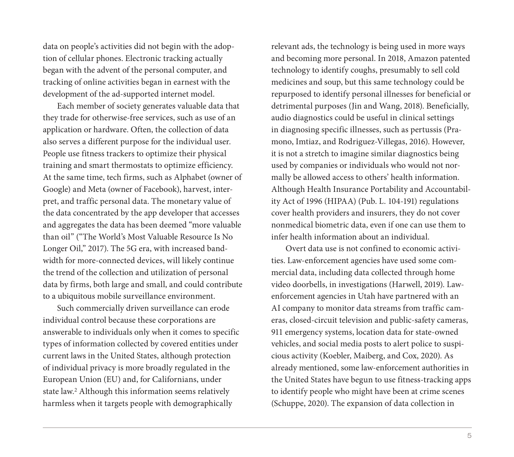data on people's activities did not begin with the adoption of cellular phones. Electronic tracking actually began with the advent of the personal computer, and tracking of online activities began in earnest with the development of the ad-supported internet model.

Each member of society generates valuable data that they trade for otherwise-free services, such as use of an application or hardware. Often, the collection of data also serves a different purpose for the individual user. People use fitness trackers to optimize their physical training and smart thermostats to optimize efficiency. At the same time, tech firms, such as Alphabet (owner of Google) and Meta (owner of Facebook), harvest, interpret, and traffic personal data. The monetary value of the data concentrated by the app developer that accesses and aggregates the data has been deemed "more valuable than oil" ("The World's Most Valuable Resource Is No Longer Oil," 2017). The 5G era, with increased bandwidth for more-connected devices, will likely continue the trend of the collection and utilization of personal data by firms, both large and small, and could contribute to a ubiquitous mobile surveillance environment.

Such commercially driven surveillance can erode individual control because these corporations are answerable to individuals only when it comes to specific types of information collected by covered entities under current laws in the United States, although protection of individual privacy is more broadly regulated in the European Union (EU) and, for Californians, under state law.2 Although this information seems relatively harmless when it targets people with demographically

relevant ads, the technology is being used in more ways and becoming more personal. In 2018, Amazon patented technology to identify coughs, presumably to sell cold medicines and soup, but this same technology could be repurposed to identify personal illnesses for beneficial or detrimental purposes (Jin and Wang, 2018). Beneficially, audio diagnostics could be useful in clinical settings in diagnosing specific illnesses, such as pertussis (Pramono, Imtiaz, and Rodriguez-Villegas, 2016). However, it is not a stretch to imagine similar diagnostics being used by companies or individuals who would not normally be allowed access to others' health information. Although Health Insurance Portability and Accountability Act of 1996 (HIPAA) (Pub. L. 104-191) regulations cover health providers and insurers, they do not cover nonmedical biometric data, even if one can use them to infer health information about an individual.

Overt data use is not confined to economic activities. Law-enforcement agencies have used some commercial data, including data collected through home video doorbells, in investigations (Harwell, 2019). Lawenforcement agencies in Utah have partnered with an AI company to monitor data streams from traffic cameras, closed-circuit television and public-safety cameras, 911 emergency systems, location data for state-owned vehicles, and social media posts to alert police to suspicious activity (Koebler, Maiberg, and Cox, 2020). As already mentioned, some law-enforcement authorities in the United States have begun to use fitness-tracking apps to identify people who might have been at crime scenes (Schuppe, 2020). The expansion of data collection in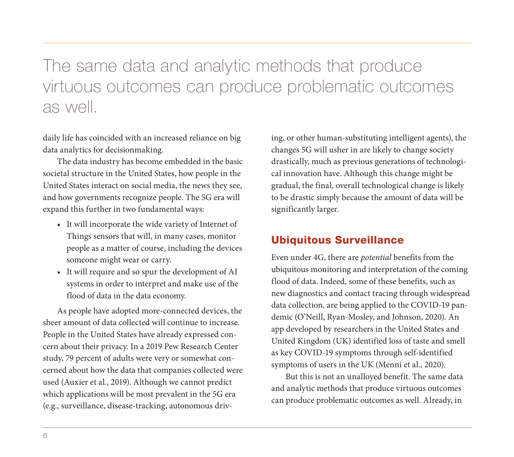## The same data and analytic methods that produce virtuous outcomes can produce problematic outcomes as well.

daily life has coincided with an increased reliance on big data analytics for decisionmaking.

The data industry has become embedded in the basic societal structure in the United States, how people in the United States interact on social media, the news they see, and how governments recognize people. The 5G era will expand this further in two fundamental ways:

- It will incorporate the wide variety of Internet of Things sensors that will, in many cases, monitor people as a matter of course, including the devices someone might wear or carry.
- It will require and so spur the development of AI systems in order to interpret and make use of the flood of data in the data economy.

As people have adopted more-connected devices, the sheer amount of data collected will continue to increase. People in the United States have already expressed concern about their privacy. In a 2019 Pew Research Center study, 79 percent of adults were very or somewhat concerned about how the data that companies collected were used (Auxier et al., 2019). Although we cannot predict which applications will be most prevalent in the 5G era (e.g., surveillance, disease-tracking, autonomous driv-

ing, or other human-substituting intelligent agents), the changes 5G will usher in are likely to change society drastically, much as previous generations of technological innovation have. Although this change might be gradual, the final, overall technological change is likely to be drastic simply because the amount of data will be significantly larger.

### Ubiquitous Surveillance

Even under 4G, there are *potential* benefits from the ubiquitous monitoring and interpretation of the coming flood of data. Indeed, some of these benefits, such as new diagnostics and contact tracing through widespread data collection, are being applied to the COVID-19 pandemic (O'Neill, Ryan-Mosley, and Johnson, 2020). An app developed by researchers in the United States and United Kingdom (UK) identified loss of taste and smell as key COVID-19 symptoms through self-identified symptoms of users in the UK (Menni et al., 2020).

But this is not an unalloyed benefit. The same data and analytic methods that produce virtuous outcomes can produce problematic outcomes as well. Already, in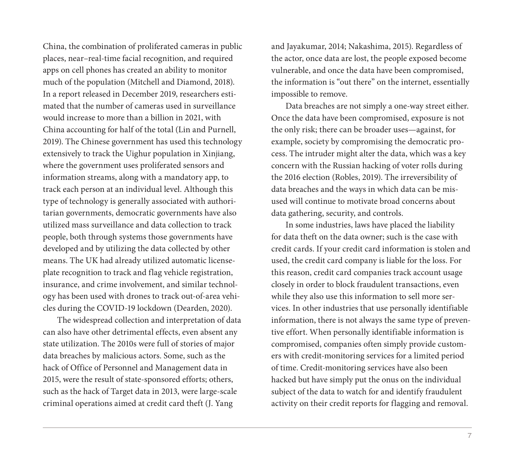China, the combination of proliferated cameras in public places, near–real-time facial recognition, and required apps on cell phones has created an ability to monitor much of the population (Mitchell and Diamond, 2018). In a report released in December 2019, researchers estimated that the number of cameras used in surveillance would increase to more than a billion in 2021, with China accounting for half of the total (Lin and Purnell, 2019). The Chinese government has used this technology extensively to track the Uighur population in Xinjiang, where the government uses proliferated sensors and information streams, along with a mandatory app, to track each person at an individual level. Although this type of technology is generally associated with authoritarian governments, democratic governments have also utilized mass surveillance and data collection to track people, both through systems those governments have developed and by utilizing the data collected by other means. The UK had already utilized automatic licenseplate recognition to track and flag vehicle registration, insurance, and crime involvement, and similar technology has been used with drones to track out-of-area vehicles during the COVID-19 lockdown (Dearden, 2020).

The widespread collection and interpretation of data can also have other detrimental effects, even absent any state utilization. The 2010s were full of stories of major data breaches by malicious actors. Some, such as the hack of Office of Personnel and Management data in 2015, were the result of state-sponsored efforts; others, such as the hack of Target data in 2013, were large-scale criminal operations aimed at credit card theft (J. Yang

and Jayakumar, 2014; Nakashima, 2015). Regardless of the actor, once data are lost, the people exposed become vulnerable, and once the data have been compromised, the information is "out there" on the internet, essentially impossible to remove.

Data breaches are not simply a one-way street either. Once the data have been compromised, exposure is not the only risk; there can be broader uses—against, for example, society by compromising the democratic process. The intruder might alter the data, which was a key concern with the Russian hacking of voter rolls during the 2016 election (Robles, 2019). The irreversibility of data breaches and the ways in which data can be misused will continue to motivate broad concerns about data gathering, security, and controls.

In some industries, laws have placed the liability for data theft on the data owner; such is the case with credit cards. If your credit card information is stolen and used, the credit card company is liable for the loss. For this reason, credit card companies track account usage closely in order to block fraudulent transactions, even while they also use this information to sell more services. In other industries that use personally identifiable information, there is not always the same type of preventive effort. When personally identifiable information is compromised, companies often simply provide customers with credit-monitoring services for a limited period of time. Credit-monitoring services have also been hacked but have simply put the onus on the individual subject of the data to watch for and identify fraudulent activity on their credit reports for flagging and removal.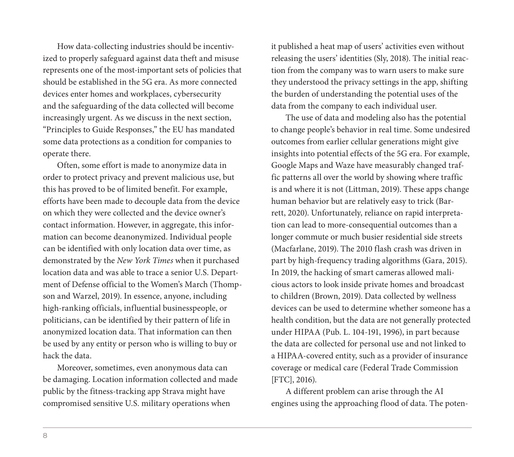How data-collecting industries should be incentivized to properly safeguard against data theft and misuse represents one of the most-important sets of policies that should be established in the 5G era. As more connected devices enter homes and workplaces, cybersecurity and the safeguarding of the data collected will become increasingly urgent. As we discuss in the next section, "Principles to Guide Responses," the EU has mandated some data protections as a condition for companies to operate there.

Often, some effort is made to anonymize data in order to protect privacy and prevent malicious use, but this has proved to be of limited benefit. For example, efforts have been made to decouple data from the device on which they were collected and the device owner's contact information. However, in aggregate, this information can become deanonymized. Individual people can be identified with only location data over time, as demonstrated by the *New York Times* when it purchased location data and was able to trace a senior U.S. Department of Defense official to the Women's March (Thompson and Warzel, 2019). In essence, anyone, including high-ranking officials, influential businesspeople, or politicians, can be identified by their pattern of life in anonymized location data. That information can then be used by any entity or person who is willing to buy or hack the data.

Moreover, sometimes, even anonymous data can be damaging. Location information collected and made public by the fitness-tracking app Strava might have compromised sensitive U.S. military operations when

it published a heat map of users' activities even without releasing the users' identities (Sly, 2018). The initial reaction from the company was to warn users to make sure they understood the privacy settings in the app, shifting the burden of understanding the potential uses of the data from the company to each individual user.

The use of data and modeling also has the potential to change people's behavior in real time. Some undesired outcomes from earlier cellular generations might give insights into potential effects of the 5G era. For example, Google Maps and Waze have measurably changed traffic patterns all over the world by showing where traffic is and where it is not (Littman, 2019). These apps change human behavior but are relatively easy to trick (Barrett, 2020). Unfortunately, reliance on rapid interpretation can lead to more-consequential outcomes than a longer commute or much busier residential side streets (Macfarlane, 2019). The 2010 flash crash was driven in part by high-frequency trading algorithms (Gara, 2015). In 2019, the hacking of smart cameras allowed malicious actors to look inside private homes and broadcast to children (Brown, 2019). Data collected by wellness devices can be used to determine whether someone has a health condition, but the data are not generally protected under HIPAA (Pub. L. 104-191, 1996), in part because the data are collected for personal use and not linked to a HIPAA-covered entity, such as a provider of insurance coverage or medical care (Federal Trade Commission [FTC], 2016).

A different problem can arise through the AI engines using the approaching flood of data. The poten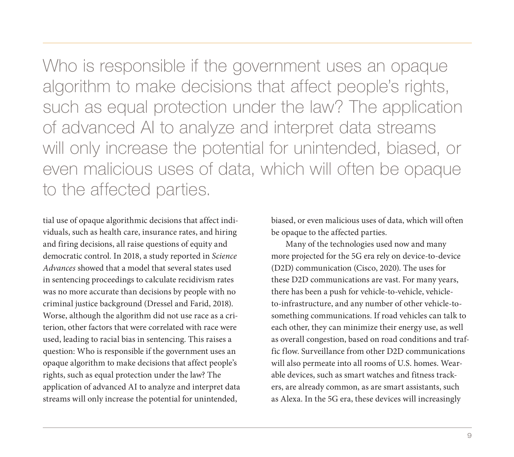Who is responsible if the government uses an opaque algorithm to make decisions that affect people's rights, such as equal protection under the law? The application of advanced AI to analyze and interpret data streams will only increase the potential for unintended, biased, or even malicious uses of data, which will often be opaque to the affected parties.

tial use of opaque algorithmic decisions that affect individuals, such as health care, insurance rates, and hiring and firing decisions, all raise questions of equity and democratic control. In 2018, a study reported in *Science Advances* showed that a model that several states used in sentencing proceedings to calculate recidivism rates was no more accurate than decisions by people with no criminal justice background (Dressel and Farid, 2018). Worse, although the algorithm did not use race as a criterion, other factors that were correlated with race were used, leading to racial bias in sentencing. This raises a question: Who is responsible if the government uses an opaque algorithm to make decisions that affect people's rights, such as equal protection under the law? The application of advanced AI to analyze and interpret data streams will only increase the potential for unintended,

biased, or even malicious uses of data, which will often be opaque to the affected parties.

Many of the technologies used now and many more projected for the 5G era rely on device-to-device (D2D) communication (Cisco, 2020). The uses for these D2D communications are vast. For many years, there has been a push for vehicle-to-vehicle, vehicleto-infrastructure, and any number of other vehicle-tosomething communications. If road vehicles can talk to each other, they can minimize their energy use, as well as overall congestion, based on road conditions and traffic flow. Surveillance from other D2D communications will also permeate into all rooms of U.S. homes. Wearable devices, such as smart watches and fitness trackers, are already common, as are smart assistants, such as Alexa. In the 5G era, these devices will increasingly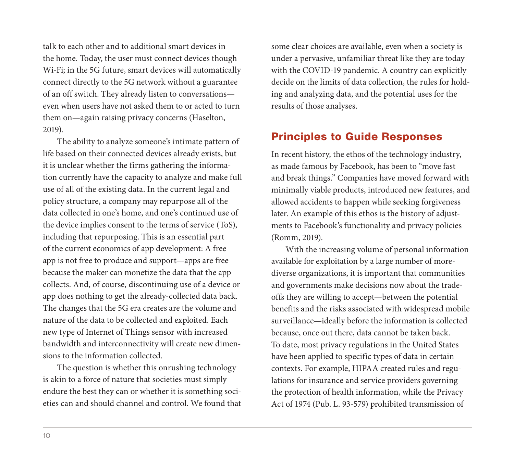talk to each other and to additional smart devices in the home. Today, the user must connect devices though Wi-Fi; in the 5G future, smart devices will automatically connect directly to the 5G network without a guarantee of an off switch. They already listen to conversations even when users have not asked them to or acted to turn them on—again raising privacy concerns (Haselton, 2019).

The ability to analyze someone's intimate pattern of life based on their connected devices already exists, but it is unclear whether the firms gathering the information currently have the capacity to analyze and make full use of all of the existing data. In the current legal and policy structure, a company may repurpose all of the data collected in one's home, and one's continued use of the device implies consent to the terms of service (ToS), including that repurposing. This is an essential part of the current economics of app development: A free app is not free to produce and support—apps are free because the maker can monetize the data that the app collects. And, of course, discontinuing use of a device or app does nothing to get the already-collected data back. The changes that the 5G era creates are the volume and nature of the data to be collected and exploited. Each new type of Internet of Things sensor with increased bandwidth and interconnectivity will create new dimensions to the information collected.

The question is whether this onrushing technology is akin to a force of nature that societies must simply endure the best they can or whether it is something societies can and should channel and control. We found that some clear choices are available, even when a society is under a pervasive, unfamiliar threat like they are today with the COVID-19 pandemic. A country can explicitly decide on the limits of data collection, the rules for holding and analyzing data, and the potential uses for the results of those analyses.

#### Principles to Guide Responses

In recent history, the ethos of the technology industry, as made famous by Facebook, has been to "move fast and break things." Companies have moved forward with minimally viable products, introduced new features, and allowed accidents to happen while seeking forgiveness later. An example of this ethos is the history of adjustments to Facebook's functionality and privacy policies (Romm, 2019).

With the increasing volume of personal information available for exploitation by a large number of morediverse organizations, it is important that communities and governments make decisions now about the tradeoffs they are willing to accept—between the potential benefits and the risks associated with widespread mobile surveillance—ideally before the information is collected because, once out there, data cannot be taken back. To date, most privacy regulations in the United States have been applied to specific types of data in certain contexts. For example, HIPAA created rules and regulations for insurance and service providers governing the protection of health information, while the Privacy Act of 1974 (Pub. L. 93-579) prohibited transmission of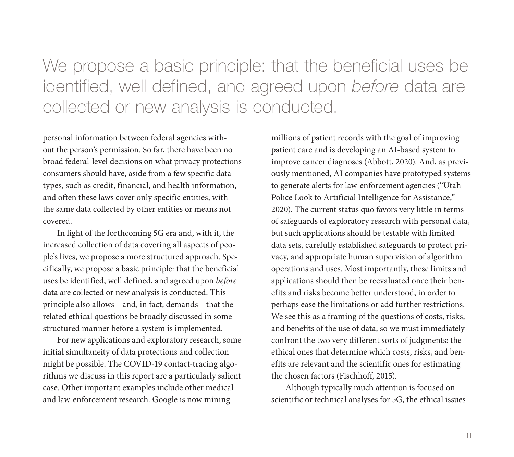We propose a basic principle: that the beneficial uses be identified, well defined, and agreed upon *before* data are collected or new analysis is conducted.

personal information between federal agencies without the person's permission. So far, there have been no broad federal-level decisions on what privacy protections consumers should have, aside from a few specific data types, such as credit, financial, and health information, and often these laws cover only specific entities, with the same data collected by other entities or means not covered.

In light of the forthcoming 5G era and, with it, the increased collection of data covering all aspects of people's lives, we propose a more structured approach. Specifically, we propose a basic principle: that the beneficial uses be identified, well defined, and agreed upon *before* data are collected or new analysis is conducted. This principle also allows—and, in fact, demands—that the related ethical questions be broadly discussed in some structured manner before a system is implemented.

For new applications and exploratory research, some initial simultaneity of data protections and collection might be possible. The COVID-19 contact-tracing algorithms we discuss in this report are a particularly salient case. Other important examples include other medical and law-enforcement research. Google is now mining

millions of patient records with the goal of improving patient care and is developing an AI-based system to improve cancer diagnoses (Abbott, 2020). And, as previously mentioned, AI companies have prototyped systems to generate alerts for law-enforcement agencies ("Utah Police Look to Artificial Intelligence for Assistance," 2020). The current status quo favors very little in terms of safeguards of exploratory research with personal data, but such applications should be testable with limited data sets, carefully established safeguards to protect privacy, and appropriate human supervision of algorithm operations and uses. Most importantly, these limits and applications should then be reevaluated once their benefits and risks become better understood, in order to perhaps ease the limitations or add further restrictions. We see this as a framing of the questions of costs, risks, and benefits of the use of data, so we must immediately confront the two very different sorts of judgments: the ethical ones that determine which costs, risks, and benefits are relevant and the scientific ones for estimating the chosen factors (Fischhoff, 2015).

Although typically much attention is focused on scientific or technical analyses for 5G, the ethical issues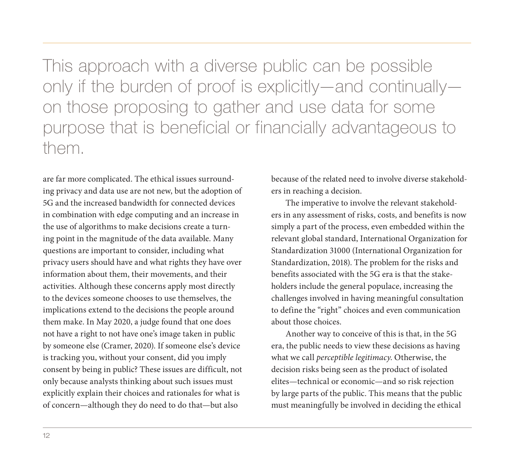This approach with a diverse public can be possible only if the burden of proof is explicitly—and continually on those proposing to gather and use data for some purpose that is beneficial or financially advantageous to them.

are far more complicated. The ethical issues surrounding privacy and data use are not new, but the adoption of 5G and the increased bandwidth for connected devices in combination with edge computing and an increase in the use of algorithms to make decisions create a turning point in the magnitude of the data available. Many questions are important to consider, including what privacy users should have and what rights they have over information about them, their movements, and their activities. Although these concerns apply most directly to the devices someone chooses to use themselves, the implications extend to the decisions the people around them make. In May 2020, a judge found that one does not have a right to not have one's image taken in public by someone else (Cramer, 2020). If someone else's device is tracking you, without your consent, did you imply consent by being in public? These issues are difficult, not only because analysts thinking about such issues must explicitly explain their choices and rationales for what is of concern—although they do need to do that—but also

because of the related need to involve diverse stakeholders in reaching a decision.

The imperative to involve the relevant stakeholders in any assessment of risks, costs, and benefits is now simply a part of the process, even embedded within the relevant global standard, International Organization for Standardization 31000 (International Organization for Standardization, 2018). The problem for the risks and benefits associated with the 5G era is that the stakeholders include the general populace, increasing the challenges involved in having meaningful consultation to define the "right" choices and even communication about those choices.

Another way to conceive of this is that, in the 5G era, the public needs to view these decisions as having what we call *perceptible legitimacy*. Otherwise, the decision risks being seen as the product of isolated elites—technical or economic—and so risk rejection by large parts of the public. This means that the public must meaningfully be involved in deciding the ethical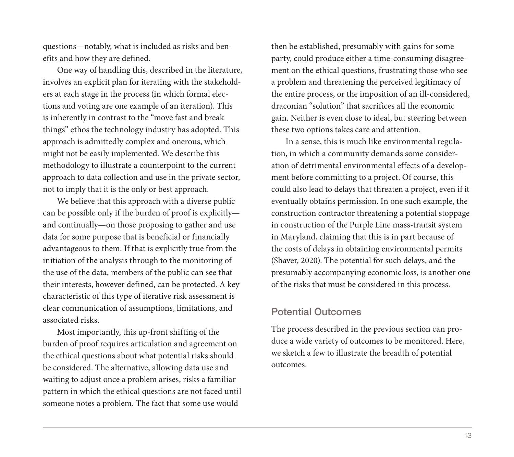questions—notably, what is included as risks and benefits and how they are defined.

One way of handling this, described in the literature, involves an explicit plan for iterating with the stakeholders at each stage in the process (in which formal elections and voting are one example of an iteration). This is inherently in contrast to the "move fast and break things" ethos the technology industry has adopted. This approach is admittedly complex and onerous, which might not be easily implemented. We describe this methodology to illustrate a counterpoint to the current approach to data collection and use in the private sector, not to imply that it is the only or best approach.

We believe that this approach with a diverse public can be possible only if the burden of proof is explicitly and continually—on those proposing to gather and use data for some purpose that is beneficial or financially advantageous to them. If that is explicitly true from the initiation of the analysis through to the monitoring of the use of the data, members of the public can see that their interests, however defined, can be protected. A key characteristic of this type of iterative risk assessment is clear communication of assumptions, limitations, and associated risks.

Most importantly, this up-front shifting of the burden of proof requires articulation and agreement on the ethical questions about what potential risks should be considered. The alternative, allowing data use and waiting to adjust once a problem arises, risks a familiar pattern in which the ethical questions are not faced until someone notes a problem. The fact that some use would

then be established, presumably with gains for some party, could produce either a time-consuming disagreement on the ethical questions, frustrating those who see a problem and threatening the perceived legitimacy of the entire process, or the imposition of an ill-considered, draconian "solution" that sacrifices all the economic gain. Neither is even close to ideal, but steering between these two options takes care and attention.

In a sense, this is much like environmental regulation, in which a community demands some consideration of detrimental environmental effects of a development before committing to a project. Of course, this could also lead to delays that threaten a project, even if it eventually obtains permission. In one such example, the construction contractor threatening a potential stoppage in construction of the Purple Line mass-transit system in Maryland, claiming that this is in part because of the costs of delays in obtaining environmental permits (Shaver, 2020). The potential for such delays, and the presumably accompanying economic loss, is another one of the risks that must be considered in this process.

#### Potential Outcomes

The process described in the previous section can produce a wide variety of outcomes to be monitored. Here, we sketch a few to illustrate the breadth of potential outcomes.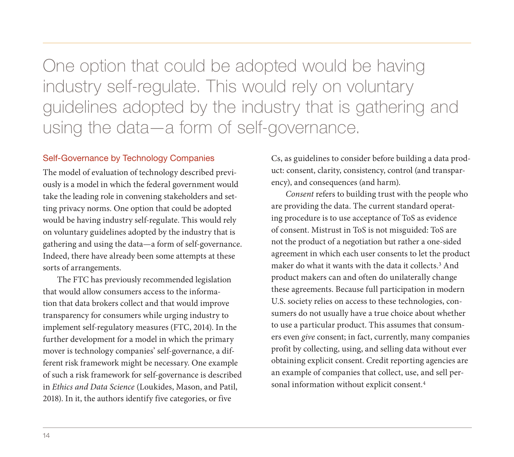One option that could be adopted would be having industry self-regulate. This would rely on voluntary guidelines adopted by the industry that is gathering and using the data—a form of self-governance.

#### Self-Governance by Technology Companies

The model of evaluation of technology described previously is a model in which the federal government would take the leading role in convening stakeholders and setting privacy norms. One option that could be adopted would be having industry self-regulate. This would rely on voluntary guidelines adopted by the industry that is gathering and using the data—a form of self-governance. Indeed, there have already been some attempts at these sorts of arrangements.

The FTC has previously recommended legislation that would allow consumers access to the information that data brokers collect and that would improve transparency for consumers while urging industry to implement self-regulatory measures (FTC, 2014). In the further development for a model in which the primary mover is technology companies' self-governance, a different risk framework might be necessary. One example of such a risk framework for self-governance is described in *Ethics and Data Science* (Loukides, Mason, and Patil, 2018). In it, the authors identify five categories, or five

Cs, as guidelines to consider before building a data product: consent, clarity, consistency, control (and transparency), and consequences (and harm).

*Consent* refers to building trust with the people who are providing the data. The current standard operating procedure is to use acceptance of ToS as evidence of consent. Mistrust in ToS is not misguided: ToS are not the product of a negotiation but rather a one-sided agreement in which each user consents to let the product maker do what it wants with the data it collects.3 And product makers can and often do unilaterally change these agreements. Because full participation in modern U.S. society relies on access to these technologies, consumers do not usually have a true choice about whether to use a particular product. This assumes that consumers even *give* consent; in fact, currently, many companies profit by collecting, using, and selling data without ever obtaining explicit consent. Credit reporting agencies are an example of companies that collect, use, and sell personal information without explicit consent.4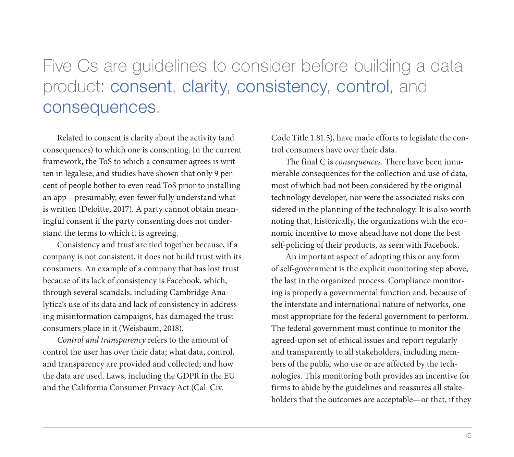# Five Cs are guidelines to consider before building a data product: consent, clarity, consistency, control, and consequences.

Related to consent is clarity about the activity (and consequences) to which one is consenting. In the current framework, the ToS to which a consumer agrees is written in legalese, and studies have shown that only 9 percent of people bother to even read ToS prior to installing an app—presumably, even fewer fully understand what is written (Deloitte, 2017). A party cannot obtain meaningful consent if the party consenting does not understand the terms to which it is agreeing.

Consistency and trust are tied together because, if a company is not consistent, it does not build trust with its consumers. An example of a company that has lost trust because of its lack of consistency is Facebook, which, through several scandals, including Cambridge Analytica's use of its data and lack of consistency in addressing misinformation campaigns, has damaged the trust consumers place in it (Weisbaum, 2018).

*Control and transparency* refers to the amount of control the user has over their data; what data, control, and transparency are provided and collected; and how the data are used. Laws, including the GDPR in the EU and the California Consumer Privacy Act (Cal. Civ.

Code Title 1.81.5), have made efforts to legislate the control consumers have over their data.

The final C is *consequences*. There have been innumerable consequences for the collection and use of data, most of which had not been considered by the original technology developer, nor were the associated risks considered in the planning of the technology. It is also worth noting that, historically, the organizations with the economic incentive to move ahead have not done the best self-policing of their products, as seen with Facebook.

An important aspect of adopting this or any form of self-government is the explicit monitoring step above, the last in the organized process. Compliance monitoring is properly a governmental function and, because of the interstate and international nature of networks, one most appropriate for the federal government to perform. The federal government must continue to monitor the agreed-upon set of ethical issues and report regularly and transparently to all stakeholders, including members of the public who use or are affected by the technologies. This monitoring both provides an incentive for firms to abide by the guidelines and reassures all stakeholders that the outcomes are acceptable—or that, if they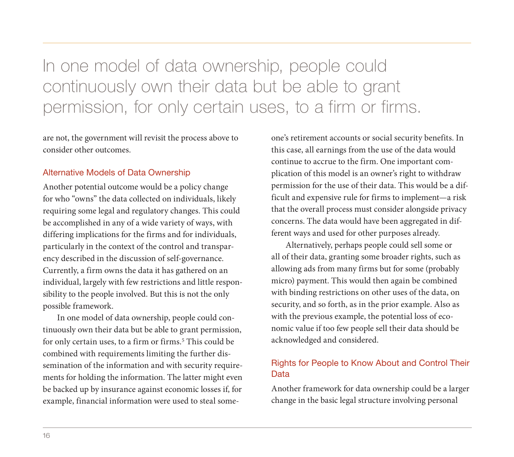In one model of data ownership, people could continuously own their data but be able to grant permission, for only certain uses, to a firm or firms.

are not, the government will revisit the process above to consider other outcomes.

#### Alternative Models of Data Ownership

Another potential outcome would be a policy change for who "owns" the data collected on individuals, likely requiring some legal and regulatory changes. This could be accomplished in any of a wide variety of ways, with differing implications for the firms and for individuals, particularly in the context of the control and transparency described in the discussion of self-governance. Currently, a firm owns the data it has gathered on an individual, largely with few restrictions and little responsibility to the people involved. But this is not the only possible framework.

In one model of data ownership, people could continuously own their data but be able to grant permission, for only certain uses, to a firm or firms.<sup>5</sup> This could be combined with requirements limiting the further dissemination of the information and with security requirements for holding the information. The latter might even be backed up by insurance against economic losses if, for example, financial information were used to steal someone's retirement accounts or social security benefits. In this case, all earnings from the use of the data would continue to accrue to the firm. One important complication of this model is an owner's right to withdraw permission for the use of their data. This would be a difficult and expensive rule for firms to implement—a risk that the overall process must consider alongside privacy concerns. The data would have been aggregated in different ways and used for other purposes already.

Alternatively, perhaps people could sell some or all of their data, granting some broader rights, such as allowing ads from many firms but for some (probably micro) payment. This would then again be combined with binding restrictions on other uses of the data, on security, and so forth, as in the prior example. Also as with the previous example, the potential loss of economic value if too few people sell their data should be acknowledged and considered.

#### Rights for People to Know About and Control Their Data

Another framework for data ownership could be a larger change in the basic legal structure involving personal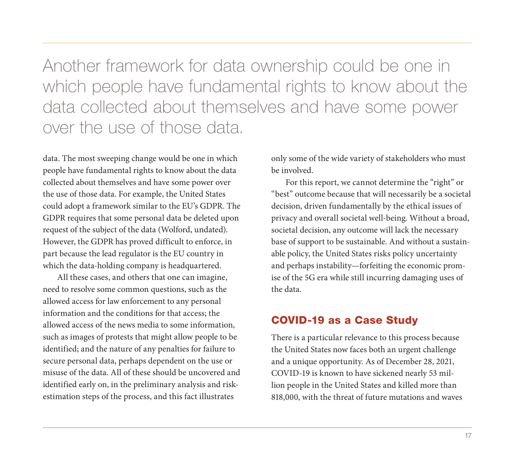Another framework for data ownership could be one in which people have fundamental rights to know about the data collected about themselves and have some power over the use of those data.

data. The most sweeping change would be one in which people have fundamental rights to know about the data collected about themselves and have some power over the use of those data. For example, the United States could adopt a framework similar to the EU's GDPR. The GDPR requires that some personal data be deleted upon request of the subject of the data (Wolford, undated). However, the GDPR has proved difficult to enforce, in part because the lead regulator is the EU country in which the data-holding company is headquartered.

All these cases, and others that one can imagine, need to resolve some common questions, such as the allowed access for law enforcement to any personal information and the conditions for that access; the allowed access of the news media to some information, such as images of protests that might allow people to be identified; and the nature of any penalties for failure to secure personal data, perhaps dependent on the use or misuse of the data. All of these should be uncovered and identified early on, in the preliminary analysis and riskestimation steps of the process, and this fact illustrates

only some of the wide variety of stakeholders who must be involved.

For this report, we cannot determine the "right" or "best" outcome because that will necessarily be a societal decision, driven fundamentally by the ethical issues of privacy and overall societal well-being. Without a broad, societal decision, any outcome will lack the necessary base of support to be sustainable. And without a sustainable policy, the United States risks policy uncertainty and perhaps instability—forfeiting the economic promise of the 5G era while still incurring damaging uses of the data.

#### COVID-19 as a Case Study

There is a particular relevance to this process because the United States now faces both an urgent challenge and a unique opportunity. As of December 28, 2021, COVID-19 is known to have sickened nearly 53 million people in the United States and killed more than 818,000, with the threat of future mutations and waves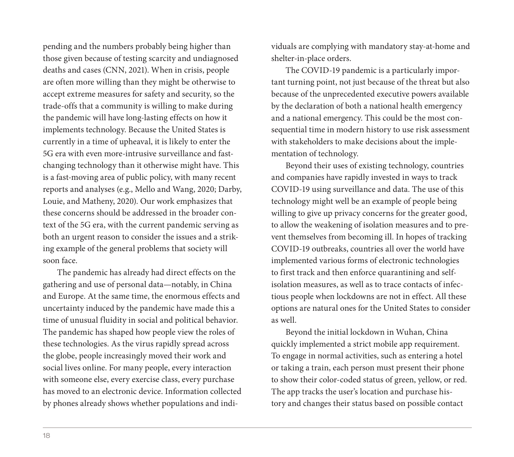pending and the numbers probably being higher than those given because of testing scarcity and undiagnosed deaths and cases (CNN, 2021). When in crisis, people are often more willing than they might be otherwise to accept extreme measures for safety and security, so the trade-offs that a community is willing to make during the pandemic will have long-lasting effects on how it implements technology. Because the United States is currently in a time of upheaval, it is likely to enter the 5G era with even more-intrusive surveillance and fastchanging technology than it otherwise might have. This is a fast-moving area of public policy, with many recent reports and analyses (e.g., Mello and Wang, 2020; Darby, Louie, and Matheny, 2020). Our work emphasizes that these concerns should be addressed in the broader context of the 5G era, with the current pandemic serving as both an urgent reason to consider the issues and a striking example of the general problems that society will soon face.

The pandemic has already had direct effects on the gathering and use of personal data—notably, in China and Europe. At the same time, the enormous effects and uncertainty induced by the pandemic have made this a time of unusual fluidity in social and political behavior. The pandemic has shaped how people view the roles of these technologies. As the virus rapidly spread across the globe, people increasingly moved their work and social lives online. For many people, every interaction with someone else, every exercise class, every purchase has moved to an electronic device. Information collected by phones already shows whether populations and individuals are complying with mandatory stay-at-home and shelter-in-place orders.

The COVID-19 pandemic is a particularly important turning point, not just because of the threat but also because of the unprecedented executive powers available by the declaration of both a national health emergency and a national emergency. This could be the most consequential time in modern history to use risk assessment with stakeholders to make decisions about the implementation of technology.

Beyond their uses of existing technology, countries and companies have rapidly invested in ways to track COVID-19 using surveillance and data. The use of this technology might well be an example of people being willing to give up privacy concerns for the greater good, to allow the weakening of isolation measures and to prevent themselves from becoming ill. In hopes of tracking COVID-19 outbreaks, countries all over the world have implemented various forms of electronic technologies to first track and then enforce quarantining and selfisolation measures, as well as to trace contacts of infectious people when lockdowns are not in effect. All these options are natural ones for the United States to consider as well.

Beyond the initial lockdown in Wuhan, China quickly implemented a strict mobile app requirement. To engage in normal activities, such as entering a hotel or taking a train, each person must present their phone to show their color-coded status of green, yellow, or red. The app tracks the user's location and purchase history and changes their status based on possible contact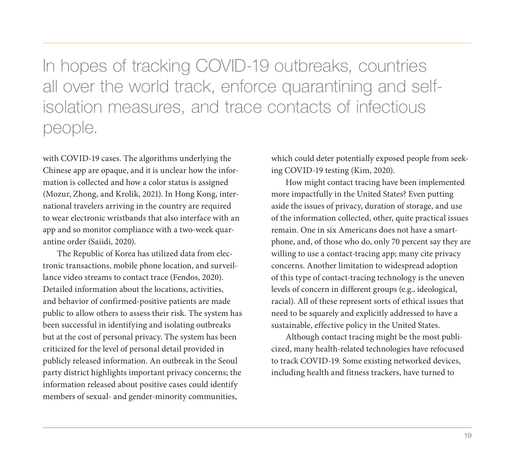In hopes of tracking COVID-19 outbreaks, countries all over the world track, enforce quarantining and selfisolation measures, and trace contacts of infectious people.

with COVID-19 cases. The algorithms underlying the Chinese app are opaque, and it is unclear how the information is collected and how a color status is assigned (Mozur, Zhong, and Krolik, 2021). In Hong Kong, international travelers arriving in the country are required to wear electronic wristbands that also interface with an app and so monitor compliance with a two-week quarantine order (Saiidi, 2020).

The Republic of Korea has utilized data from electronic transactions, mobile phone location, and surveillance video streams to contact trace (Fendos, 2020). Detailed information about the locations, activities, and behavior of confirmed-positive patients are made public to allow others to assess their risk. The system has been successful in identifying and isolating outbreaks but at the cost of personal privacy. The system has been criticized for the level of personal detail provided in publicly released information. An outbreak in the Seoul party district highlights important privacy concerns; the information released about positive cases could identify members of sexual- and gender-minority communities,

which could deter potentially exposed people from seeking COVID-19 testing (Kim, 2020).

How might contact tracing have been implemented more impactfully in the United States? Even putting aside the issues of privacy, duration of storage, and use of the information collected, other, quite practical issues remain. One in six Americans does not have a smartphone, and, of those who do, only 70 percent say they are willing to use a contact-tracing app; many cite privacy concerns. Another limitation to widespread adoption of this type of contact-tracing technology is the uneven levels of concern in different groups (e.g., ideological, racial). All of these represent sorts of ethical issues that need to be squarely and explicitly addressed to have a sustainable, effective policy in the United States.

Although contact tracing might be the most publicized, many health-related technologies have refocused to track COVID-19. Some existing networked devices, including health and fitness trackers, have turned to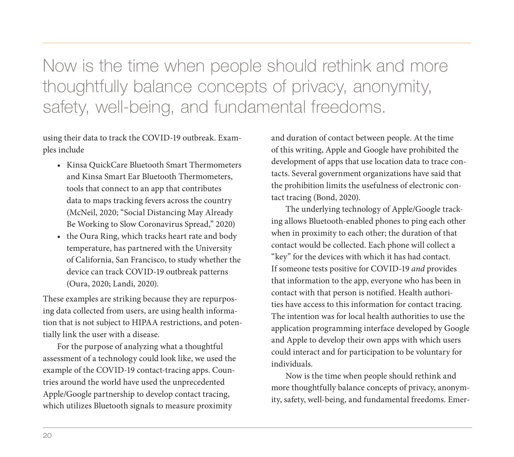Now is the time when people should rethink and more thoughtfully balance concepts of privacy, anonymity, safety, well-being, and fundamental freedoms.

using their data to track the COVID-19 outbreak. Examples include

- Kinsa QuickCare Bluetooth Smart Thermometers and Kinsa Smart Ear Bluetooth Thermometers, tools that connect to an app that contributes data to maps tracking fevers across the country (McNeil, 2020; "Social Distancing May Already Be Working to Slow Coronavirus Spread," 2020)
- the Oura Ring, which tracks heart rate and body temperature, has partnered with the University of California, San Francisco, to study whether the device can track COVID-19 outbreak patterns (Oura, 2020; Landi, 2020).

These examples are striking because they are repurposing data collected from users, are using health information that is not subject to HIPAA restrictions, and potentially link the user with a disease.

For the purpose of analyzing what a thoughtful assessment of a technology could look like, we used the example of the COVID-19 contact-tracing apps. Countries around the world have used the unprecedented Apple/Google partnership to develop contact tracing, which utilizes Bluetooth signals to measure proximity

and duration of contact between people. At the time of this writing, Apple and Google have prohibited the development of apps that use location data to trace contacts. Several government organizations have said that the prohibition limits the usefulness of electronic contact tracing (Bond, 2020).

The underlying technology of Apple/Google tracking allows Bluetooth-enabled phones to ping each other when in proximity to each other; the duration of that contact would be collected. Each phone will collect a "key" for the devices with which it has had contact. If someone tests positive for COVID-19 *and* provides that information to the app, everyone who has been in contact with that person is notified. Health authorities have access to this information for contact tracing. The intention was for local health authorities to use the application programming interface developed by Google and Apple to develop their own apps with which users could interact and for participation to be voluntary for individuals.

Now is the time when people should rethink and more thoughtfully balance concepts of privacy, anonymity, safety, well-being, and fundamental freedoms. Emer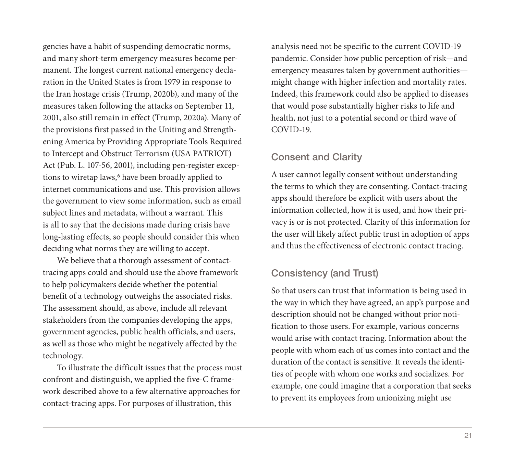gencies have a habit of suspending democratic norms, and many short-term emergency measures become permanent. The longest current national emergency declaration in the United States is from 1979 in response to the Iran hostage crisis (Trump, 2020b), and many of the measures taken following the attacks on September 11, 2001, also still remain in effect (Trump, 2020a). Many of the provisions first passed in the Uniting and Strengthening America by Providing Appropriate Tools Required to Intercept and Obstruct Terrorism (USA PATRIOT) Act (Pub. L. 107-56, 2001), including pen-register exceptions to wiretap laws,<sup>6</sup> have been broadly applied to internet communications and use. This provision allows the government to view some information, such as email subject lines and metadata, without a warrant. This is all to say that the decisions made during crisis have long-lasting effects, so people should consider this when deciding what norms they are willing to accept.

We believe that a thorough assessment of contacttracing apps could and should use the above framework to help policymakers decide whether the potential benefit of a technology outweighs the associated risks. The assessment should, as above, include all relevant stakeholders from the companies developing the apps, government agencies, public health officials, and users, as well as those who might be negatively affected by the technology.

To illustrate the difficult issues that the process must confront and distinguish, we applied the five-C framework described above to a few alternative approaches for contact-tracing apps. For purposes of illustration, this

analysis need not be specific to the current COVID-19 pandemic. Consider how public perception of risk—and emergency measures taken by government authorities might change with higher infection and mortality rates. Indeed, this framework could also be applied to diseases that would pose substantially higher risks to life and health, not just to a potential second or third wave of COVID-19.

#### Consent and Clarity

A user cannot legally consent without understanding the terms to which they are consenting. Contact-tracing apps should therefore be explicit with users about the information collected, how it is used, and how their privacy is or is not protected. Clarity of this information for the user will likely affect public trust in adoption of apps and thus the effectiveness of electronic contact tracing.

#### Consistency (and Trust)

So that users can trust that information is being used in the way in which they have agreed, an app's purpose and description should not be changed without prior notification to those users. For example, various concerns would arise with contact tracing. Information about the people with whom each of us comes into contact and the duration of the contact is sensitive. It reveals the identities of people with whom one works and socializes. For example, one could imagine that a corporation that seeks to prevent its employees from unionizing might use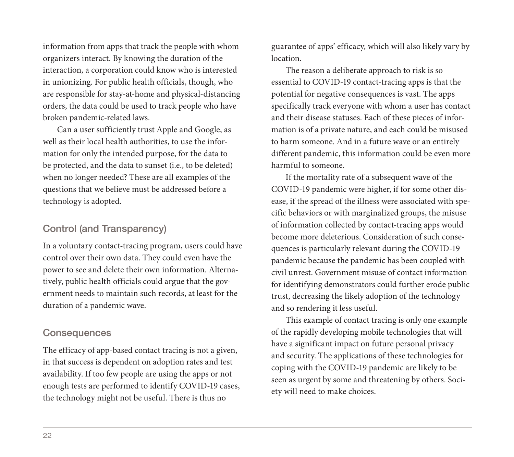information from apps that track the people with whom organizers interact. By knowing the duration of the interaction, a corporation could know who is interested in unionizing. For public health officials, though, who are responsible for stay-at-home and physical-distancing orders, the data could be used to track people who have broken pandemic-related laws.

Can a user sufficiently trust Apple and Google, as well as their local health authorities, to use the information for only the intended purpose, for the data to be protected, and the data to sunset (i.e., to be deleted) when no longer needed? These are all examples of the questions that we believe must be addressed before a technology is adopted.

#### Control (and Transparency)

In a voluntary contact-tracing program, users could have control over their own data. They could even have the power to see and delete their own information. Alternatively, public health officials could argue that the government needs to maintain such records, at least for the duration of a pandemic wave.

#### **Consequences**

The efficacy of app-based contact tracing is not a given, in that success is dependent on adoption rates and test availability. If too few people are using the apps or not enough tests are performed to identify COVID-19 cases, the technology might not be useful. There is thus no

guarantee of apps' efficacy, which will also likely vary by location.

The reason a deliberate approach to risk is so essential to COVID-19 contact-tracing apps is that the potential for negative consequences is vast. The apps specifically track everyone with whom a user has contact and their disease statuses. Each of these pieces of information is of a private nature, and each could be misused to harm someone. And in a future wave or an entirely different pandemic, this information could be even more harmful to someone.

If the mortality rate of a subsequent wave of the COVID-19 pandemic were higher, if for some other disease, if the spread of the illness were associated with specific behaviors or with marginalized groups, the misuse of information collected by contact-tracing apps would become more deleterious. Consideration of such consequences is particularly relevant during the COVID-19 pandemic because the pandemic has been coupled with civil unrest. Government misuse of contact information for identifying demonstrators could further erode public trust, decreasing the likely adoption of the technology and so rendering it less useful.

This example of contact tracing is only one example of the rapidly developing mobile technologies that will have a significant impact on future personal privacy and security. The applications of these technologies for coping with the COVID-19 pandemic are likely to be seen as urgent by some and threatening by others. Society will need to make choices.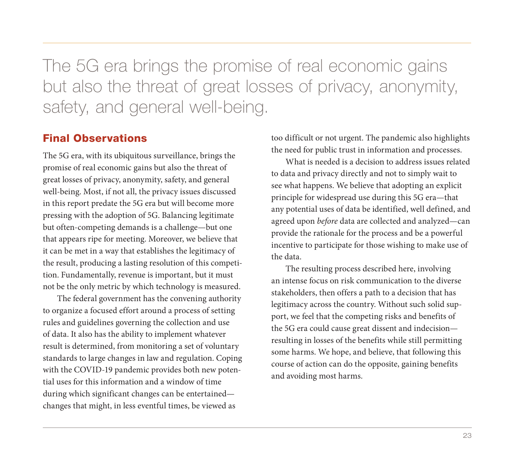The 5G era brings the promise of real economic gains but also the threat of great losses of privacy, anonymity, safety, and general well-being.

#### Final Observations

The 5G era, with its ubiquitous surveillance, brings the promise of real economic gains but also the threat of great losses of privacy, anonymity, safety, and general well-being. Most, if not all, the privacy issues discussed in this report predate the 5G era but will become more pressing with the adoption of 5G. Balancing legitimate but often-competing demands is a challenge—but one that appears ripe for meeting. Moreover, we believe that it can be met in a way that establishes the legitimacy of the result, producing a lasting resolution of this competition. Fundamentally, revenue is important, but it must not be the only metric by which technology is measured.

The federal government has the convening authority to organize a focused effort around a process of setting rules and guidelines governing the collection and use of data. It also has the ability to implement whatever result is determined, from monitoring a set of voluntary standards to large changes in law and regulation. Coping with the COVID-19 pandemic provides both new potential uses for this information and a window of time during which significant changes can be entertained changes that might, in less eventful times, be viewed as

too difficult or not urgent. The pandemic also highlights the need for public trust in information and processes.

What is needed is a decision to address issues related to data and privacy directly and not to simply wait to see what happens. We believe that adopting an explicit principle for widespread use during this 5G era—that any potential uses of data be identified, well defined, and agreed upon *before* data are collected and analyzed—can provide the rationale for the process and be a powerful incentive to participate for those wishing to make use of the data.

The resulting process described here, involving an intense focus on risk communication to the diverse stakeholders, then offers a path to a decision that has legitimacy across the country. Without such solid support, we feel that the competing risks and benefits of the 5G era could cause great dissent and indecision resulting in losses of the benefits while still permitting some harms. We hope, and believe, that following this course of action can do the opposite, gaining benefits and avoiding most harms.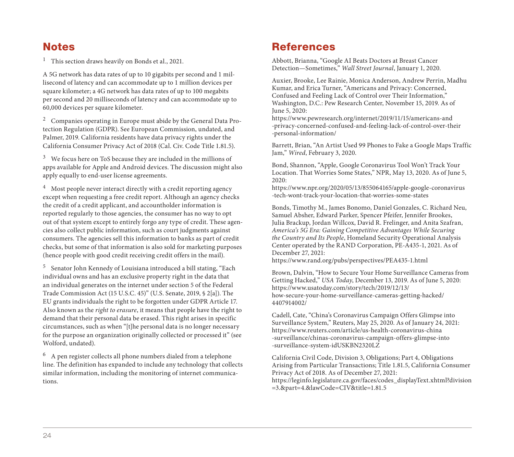### **Notes**

<sup>1</sup> This section draws heavily on Bonds et al., 2021.

A 5G network has data rates of up to 10 gigabits per second and 1 millisecond of latency and can accommodate up to 1 million devices per square kilometer; a 4G network has data rates of up to 100 megabits per second and 20 milliseconds of latency and can accommodate up to 60,000 devices per square kilometer.

 $2$  Companies operating in Europe must abide by the General Data Protection Regulation (GDPR). See European Commission, undated, and Palmer, 2019. California residents have data privacy rights under the California Consumer Privacy Act of 2018 (Cal. Civ. Code Title 1.81.5).

 $3$  We focus here on ToS because they are included in the millions of apps available for Apple and Android devices. The discussion might also apply equally to end-user license agreements.

 $4$  Most people never interact directly with a credit reporting agency except when requesting a free credit report. Although an agency checks the credit of a credit applicant, and accountholder information is reported regularly to those agencies, the consumer has no way to opt out of that system except to entirely forgo any type of credit. These agencies also collect public information, such as court judgments against consumers. The agencies sell this information to banks as part of credit checks, but some of that information is also sold for marketing purposes (hence people with good credit receiving credit offers in the mail).

<sup>5</sup> Senator John Kennedy of Louisiana introduced a bill stating, "Each individual owns and has an exclusive property right in the data that an individual generates on the internet under section 5 of the Federal Trade Commission Act (15 U.S.C. 45)" (U.S. Senate, 2019, § 2[a]). The EU grants individuals the right to be forgotten under GDPR Article 17. Also known as the *right to erasure*, it means that people have the right to demand that their personal data be erased. This right arises in specific circumstances, such as when "[t]he personal data is no longer necessary for the purpose an organization originally collected or processed it" (see Wolford, undated).

<sup>6</sup> A pen register collects all phone numbers dialed from a telephone line. The definition has expanded to include any technology that collects similar information, including the monitoring of internet communications.

### **References**

Abbott, Brianna, "Google AI Beats Doctors at Breast Cancer Detection—Sometimes," *Wall Street Journal*, January 1, 2020.

Auxier, Brooke, Lee Rainie, Monica Anderson, Andrew Perrin, Madhu Kumar, and Erica Turner, "Americans and Privacy: Concerned, Confused and Feeling Lack of Control over Their Information," Washington, D.C.: Pew Research Center, November 15, 2019. As of June 5, 2020:

https://www.pewresearch.org/internet/2019/11/15/americans-and [-privacy-concerned-confused-and-feeling-lack-of-control-over-their](https://www.pewresearch.org/internet/2019/11/15/americans-and-privacy-concerned-confused-and-feeling-lack-of-control-over-their-personal-information/) -personal-information/

Barrett, Brian, "An Artist Used 99 Phones to Fake a Google Maps Traffic Jam," *Wired*, February 3, 2020.

Bond, Shannon, "Apple, Google Coronavirus Tool Won't Track Your Location. That Worries Some States," NPR, May 13, 2020. As of June 5, 2020:

[https://www.npr.org/2020/05/13/855064165/apple-google-coronavirus](https://www.npr.org/2020/05/13/855064165/apple-google-coronavirus-tech-wont-track-your-location-that-worries-some-states) -tech-wont-track-your-location-that-worries-some-states

Bonds, Timothy M., James Bonomo, Daniel Gonzales, C. Richard Neu, Samuel Absher, Edward Parker, Spencer Pfeifer, Jennifer Brookes, Julia Brackup, Jordan Willcox, David R. Frelinger, and Anita Szafran, *America's 5G Era: Gaining Competitive Advantages While Securing the Country and Its People*, Homeland Security Operational Analysis Center operated by the RAND Corporation, PE-A435-1, 2021. As of December 27, 2021:

<https://www.rand.org/pubs/perspectives/PEA435-1.html>

Brown, Dalvin, "How to Secure Your Home Surveillance Cameras from Getting Hacked," *USA Today*, December 13, 2019. As of June 5, 2020: https://www.usatoday.com/story/tech/2019/12/13/ [how-secure-your-home-surveillance-cameras-getting-hacked/](https://www.usatoday.com/story/tech/2019/12/13/how-secure-your-home-surveillance-cameras-getting-hacked/4407914002/) 4407914002/

Cadell, Cate, "China's Coronavirus Campaign Offers Glimpse into Surveillance System," Reuters, May 25, 2020. As of January 24, 2021: https://www.reuters.com/article/us-health-coronavirus-china [-surveillance/chinas-coronavirus-campaign-offers-glimpse-into](https://www.reuters.com/article/us-health-coronavirus-china-surveillance/chinas-coronavirus-campaign-offers-glimpse-into-surveillance-system-idUSKBN2320LZ) -surveillance-system-idUSKBN2320LZ

California Civil Code, Division 3, Obligations; Part 4, Obligations Arising from Particular Transactions; Title 1.81.5, California Consumer Privacy Act of 2018. As of December 27, 2021: [https://leginfo.legislature.ca.gov/faces/codes\\_displayText.xhtml?division](https://leginfo.legislature.ca.gov/faces/codes_displayText.xhtml?division=3.&part=4.&lawCode=CIV&title=1.81.5) =3.&part=4.&lawCode=CIV&title=1.81.5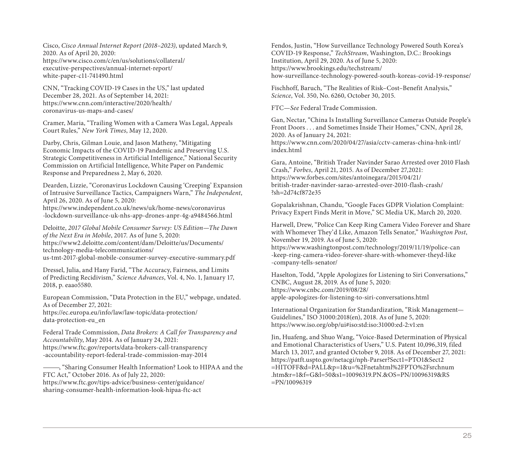Cisco, *Cisco Annual Internet Report (2018–2023)*, updated March 9, 2020. As of April 20, 2020: [https://www.cisco.com/c/en/us/solutions/collateral/](https://www.cisco.com/c/en/us/solutions/collateral/executive-perspectives/annual-internet-report/white-paper-c11-741490.html) executive-perspectives/annual-internet-report/ white-paper-c11-741490.html

CNN, "Tracking COVID-19 Cases in the US," last updated December 28, 2021. As of September 14, 2021: [https://www.cnn.com/interactive/2020/health/](https://www.cnn.com/interactive/2020/health/coronavirus-us-maps-and-cases/) coronavirus-us-maps-and-cases/

Cramer, Maria, "Trailing Women with a Camera Was Legal, Appeals Court Rules," *New York Times*, May 12, 2020.

Darby, Chris, Gilman Louie, and Jason Matheny, "Mitigating Economic Impacts of the COVID-19 Pandemic and Preserving U.S. Strategic Competitiveness in Artificial Intelligence," National Security Commission on Artificial Intelligence, White Paper on Pandemic Response and Preparedness 2, May 6, 2020.

Dearden, Lizzie, "Coronavirus Lockdown Causing 'Creeping' Expansion of Intrusive Surveillance Tactics, Campaigners Warn," *The Independent*, April 26, 2020. As of June 5, 2020:

https://www.independent.co.uk/news/uk/home-news/coronavirus [-lockdown-surveillance-uk-nhs-app-drones-anpr-4g-a9484566.html](https://www.independent.co.uk/news/uk/home-news/coronavirus-lockdown-surveillance-uk-nhs-app-drones-anpr-4g-a9484566.html)

Deloitte, *2017 Global Mobile Consumer Survey: US Edition—The Dawn of the Next Era in Mobile*, 2017. As of June 5, 2020: https://www2.deloitte.com/content/dam/Deloitte/us/Documents/ technology-media-telecommunications/ [us-tmt-2017-global-mobile-consumer-survey-executive-summary.pdf](https://www2.deloitte.com/content/dam/Deloitte/us/Documents/technology-media-telecommunications/us-tmt-2017-global-mobile-consumer-survey-executive-summary.pdf)

Dressel, Julia, and Hany Farid, "The Accuracy, Fairness, and Limits of Predicting Recidivism," *Science Advances*, Vol. 4, No. 1, January 17, 2018, p. eaao5580.

European Commission, "Data Protection in the EU," webpage, undated. As of December 27, 2021: [https://ec.europa.eu/info/law/law-topic/data-protection/](https://ec.europa.eu/info/law/law-topic/data-protection/data-protection-eu_en) data-protection-eu\_en

Federal Trade Commission, *Data Brokers: A Call for Transparency and Accountability*, May 2014. As of January 24, 2021: [https://www.ftc.gov/reports/data-brokers-call-transparency](https://www.ftc.gov/reports/data-brokers-call-transparency-accountability-report-federal-trade-commission-may-2014) -accountability-report-federal-trade-commission-may-2014

———, "Sharing Consumer Health Information? Look to HIPAA and the FTC Act," October 2016. As of July 22, 2020: [https://www.ftc.gov/tips-advice/business-center/guidance/](https://www.ftc.gov/tips-advice/business-center/guidance/sharing-consumer-health-information-look-hipaa-ftc-act) sharing-consumer-health-information-look-hipaa-ftc-act

Fendos, Justin, "How Surveillance Technology Powered South Korea's COVID-19 Response," *TechStream*, Washington, D.C.: Brookings Institution, April 29, 2020. As of June 5, 2020: https://www.brookings.edu/techstream/ [how-surveillance-technology-powered-south-koreas-covid-19-response/](https://www.brookings.edu/techstream/how-surveillance-technology-powered-south-koreas-covid-19-response/)

Fischhoff, Baruch, "The Realities of Risk–Cost–Benefit Analysis," *Science*, Vol. 350, No. 6260, October 30, 2015.

FTC—*See* Federal Trade Commission.

Gan, Nectar, "China Is Installing Surveillance Cameras Outside People's Front Doors . . . and Sometimes Inside Their Homes," CNN, April 28, 2020. As of January 24, 2021: [https://www.cnn.com/2020/04/27/asia/cctv-cameras-china-hnk-intl/](https://www.cnn.com/2020/04/27/asia/cctv-cameras-china-hnk-intl/index.html) index.html

Gara, Antoine, "British Trader Navinder Sarao Arrested over 2010 Flash Crash," *Forbes*, April 21, 2015. As of December 27,2021: https://www.forbes.com/sites/antoinegara/2015/04/21/ [british-trader-navinder-sarao-arrested-over-2010-flash-crash/](https://www.forbes.com/sites/antoinegara/2015/04/21/british-trader-navinder-sarao-arrested-over-2010-flash-crash/?sh=2d74cf872e35) ?sh=2d74cf872e35

Gopalakrishnan, Chandu, "Google Faces GDPR Violation Complaint: Privacy Expert Finds Merit in Move," SC Media UK, March 20, 2020.

Harwell, Drew, "Police Can Keep Ring Camera Video Forever and Share with Whomever They'd Like, Amazon Tells Senator," *Washington Post*, November 19, 2019. As of June 5, 2020: [https://www.washingtonpost.com/technology/2019/11/19/police-can](https://www.washingtonpost.com/technology/2019/11/19/police-can-keep-ring-camera-video-forever-share-with-whomever-theyd-like-company-tells-senator/) -keep-ring-camera-video-forever-share-with-whomever-theyd-like -company-tells-senator/

Haselton, Todd, "Apple Apologizes for Listening to Siri Conversations," CNBC, August 28, 2019. As of June 5, 2020: https://www.cnbc.com/2019/08/28/ [apple-apologizes-for-listening-to-siri-conversations.html](https://www.cnbc.com/2019/08/28/apple-apologizes-for-listening-to-siri-conversations.html)

International Organization for Standardization, "Risk Management— Guidelines," ISO 31000:2018(en), 2018. As of June 5, 2020: <https://www.iso.org/obp/ui#iso:std:iso:31000:ed-2:v1:en>

Jin, Huafeng, and Shuo Wang, "Voice-Based Determination of Physical and Emotional Characteristics of Users," U.S. Patent 10,096,319, filed March 13, 2017, and granted October 9, 2018. As of December 27, 2021: https://patft.uspto.gov/netacgi/nph-Parser?Sect1=PTO1&Sect2 [=HITOFF&d=PALL&p=1&u=%2Fnetahtml%2FPTO%2Fsrchnum](https://patft.uspto.gov/netacgi/nph-Parser?Sect1=PTO1&Sect2=HITOFF&d=PALL&p=1&u=%2Fnetahtml%2FPTO%2Fsrchnum.htm&r=1&f=G&l=50&s1=10096319.PN.&OS=PN/10096319&RS=PN/10096319) .htm&r=1&f=G&l=50&s1=10096319.PN.&OS=PN/10096319&RS =PN/10096319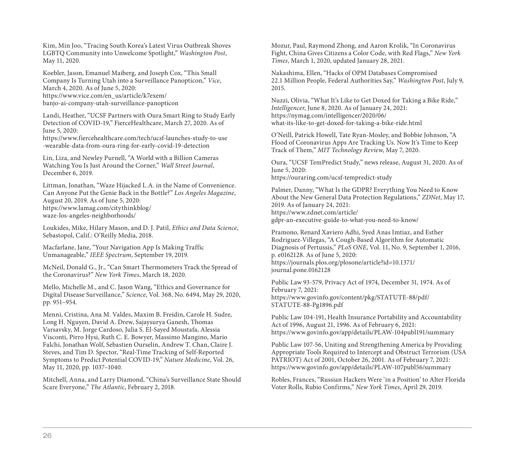Kim, Min Joo, "Tracing South Korea's Latest Virus Outbreak Shoves LGBTQ Community into Unwelcome Spotlight," *Washington Post*, May 11, 2020.

Koebler, Jason, Emanuel Maiberg, and Joseph Cox, "This Small Company Is Turning Utah into a Surveillance Panopticon," *Vice*, March 4, 2020. As of June 5, 2020: https://www.vice.com/en\_us/article/k7exem/ [banjo-ai-company-utah-surveillance-panopticon](https://www.vice.com/en_us/article/k7exem/banjo-ai-company-utah-surveillance-panopticon)

Landi, Heather, "UCSF Partners with Oura Smart Ring to Study Early Detection of COVID-19," FierceHealthcare, March 27, 2020. As of June 5, 2020:

[https://www.fiercehealthcare.com/tech/ucsf-launches-study-to-use](https://www.fiercehealthcare.com/tech/ucsf-launches-study-to-use-wearable-data-from-oura-ring-for-early-covid-19-detection) -wearable-data-from-oura-ring-for-early-covid-19-detection

Lin, Liza, and Newley Purnell, "A World with a Billion Cameras Watching You Is Just Around the Corner," *Wall Street Journal*, December 6, 2019.

Littman, Jonathan, "Waze Hijacked L.A. in the Name of Convenience. Can Anyone Put the Genie Back in the Bottle?" *Los Angeles Magazine*, August 20, 2019. As of June 5, 2020: [https://www.lamag.com/citythinkblog/](https://www.lamag.com/citythinkblog/waze-los-angeles-neighborhoods/) waze-los-angeles-neighborhoods/

Loukides, Mike, Hilary Mason, and D. J. Patil, *Ethics and Data Science*, Sebastopol, Calif.: O'Reilly Media, 2018.

Macfarlane, Jane, "Your Navigation App Is Making Traffic Unmanageable," *IEEE Spectrum*, September 19, 2019.

McNeil, Donald G., Jr., "Can Smart Thermometers Track the Spread of the Coronavirus?" *New York Times*, March 18, 2020.

Mello, Michelle M., and C. Jason Wang, "Ethics and Governance for Digital Disease Surveillance," *Science*, Vol. 368, No. 6494, May 29, 2020, pp. 951–954.

Menni, Cristina, Ana M. Valdes, Maxim B. Freidin, Carole H. Sudre, Long H. Nguyen, David A. Drew, Sajaysurya Ganesh, Thomas Varsavsky, M. Jorge Cardoso, Julia S. El-Sayed Moustafa, Alessia Visconti, Pirro Hysi, Ruth C. E. Bowyer, Massimo Mangino, Mario Falchi, Jonathan Wolf, Sebastien Ourselin, Andrew T. Chan, Claire J. Steves, and Tim D. Spector, "Real-Time Tracking of Self-Reported Symptoms to Predict Potential COVID-19," *Nature Medicine*, Vol. 26, May 11, 2020, pp. 1037–1040.

Mitchell, Anna, and Larry Diamond, "China's Surveillance State Should Scare Everyone," *The Atlantic*, February 2, 2018.

Mozur, Paul, Raymond Zhong, and Aaron Krolik, "In Coronavirus Fight, China Gives Citizens a Color Code, with Red Flags," *New York Times*, March 1, 2020, updated January 28, 2021.

Nakashima, Ellen, "Hacks of OPM Databases Compromised 22.1 Million People, Federal Authorities Say," *Washington Post*, July 9, 2015.

Nuzzi, Olivia, "What It's Like to Get Doxed for Taking a Bike Ride," *Intelligencer*, June 8, 2020. As of January 24, 2021: https://nymag.com/intelligencer/2020/06/ [what-its-like-to-get-doxed-for-taking-a-bike-ride.html](https://nymag.com/intelligencer/2020/06/what-its-like-to-get-doxed-for-taking-a-bike-ride.html)

O'Neill, Patrick Howell, Tate Ryan-Mosley, and Bobbie Johnson, "A Flood of Coronavirus Apps Are Tracking Us. Now It's Time to Keep Track of Them," *MIT Technology Review*, May 7, 2020.

Oura, "UCSF TemPredict Study," news release, August 31, 2020. As of June 5, 2020: <https://ouraring.com/ucsf-tempredict-study>

Palmer, Danny, "What Is the GDPR? Everything You Need to Know About the New General Data Protection Regulations," *ZDNet*, May 17, 2019. As of January 24, 2021: https://www.zdnet.com/article/ [gdpr-an-executive-guide-to-what-you-need-to-know/](https://www.zdnet.com/article/gdpr-an-executive-guide-to-what-you-need-to-know/)

Pramono, Renard Xaviero Adhi, Syed Anas Imtiaz, and Esther Rodriguez-Villegas, "A Cough-Based Algorithm for Automatic Diagnosis of Pertussis," *PLoS ONE*, Vol. 11, No. 9, September 1, 2016, p. e0162128. As of June 5, 2020: [https://journals.plos.org/plosone/article?id=10.1371/](https://journals.plos.org/plosone/article?id=10.1371/journal.pone.0162128) journal.pone.0162128

Public Law 93-579, Privacy Act of 1974, December 31, 1974. As of February 7, 2021: [https://www.govinfo.gov/content/pkg/STATUTE-88/pdf/](https://www.govinfo.gov/content/pkg/STATUTE-88/pdf/STATUTE-88-Pg1896.pdf) STATUTE-88-Pg1896.pdf

Public Law 104-191, Health Insurance Portability and Accountability Act of 1996, August 21, 1996. As of February 6, 2021: <https://www.govinfo.gov/app/details/PLAW-104publ191/summary>

Public Law 107-56, Uniting and Strengthening America by Providing Appropriate Tools Required to Intercept and Obstruct Terrorism (USA PATRIOT) Act of 2001, October 26, 2001. As of February 7, 2021: <https://www.govinfo.gov/app/details/PLAW-107publ56/summary>

Robles, Frances, "Russian Hackers Were 'in a Position' to Alter Florida Voter Rolls, Rubio Confirms," *New York Times*, April 29, 2019.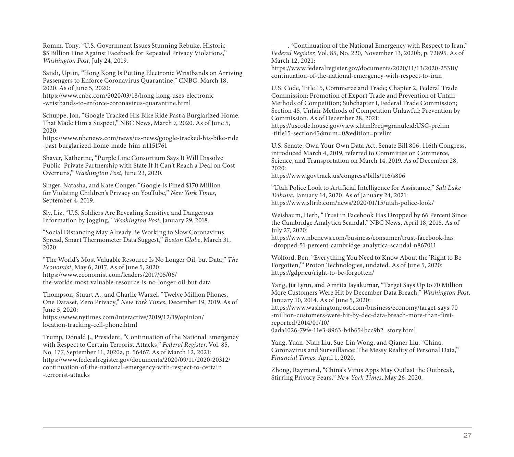Romm, Tony, "U.S. Government Issues Stunning Rebuke, Historic \$5 Billion Fine Against Facebook for Repeated Privacy Violations," *Washington Post*, July 24, 2019.

Saiidi, Uptin, "Hong Kong Is Putting Electronic Wristbands on Arriving Passengers to Enforce Coronavirus Quarantine," CNBC, March 18, 2020. As of June 5, 2020:

[https://www.cnbc.com/2020/03/18/hong-kong-uses-electronic](https://www.cnbc.com/2020/03/18/hong-kong-uses-electronic-wristbands-to-enforce-coronavirus-quarantine.html) -wristbands-to-enforce-coronavirus-quarantine.html

Schuppe, Jon, "Google Tracked His Bike Ride Past a Burglarized Home. That Made Him a Suspect," NBC News, March 7, 2020. As of June 5, 2020:

[https://www.nbcnews.com/news/us-news/google-tracked-his-bike-ride](https://www.nbcnews.com/news/us-news/google-tracked-his-bike-ride-past-burglarized-home-made-him-n1151761) -past-burglarized-home-made-him-n1151761

Shaver, Katherine, "Purple Line Consortium Says It Will Dissolve Public–Private Partnership with State If It Can't Reach a Deal on Cost Overruns," *Washington Post*, June 23, 2020.

Singer, Natasha, and Kate Conger, "Google Is Fined \$170 Million for Violating Children's Privacy on YouTube," *New York Times*, September 4, 2019.

Sly, Liz, "U.S. Soldiers Are Revealing Sensitive and Dangerous Information by Jogging," *Washington Post*, January 29, 2018.

"Social Distancing May Already Be Working to Slow Coronavirus Spread, Smart Thermometer Data Suggest," *Boston Globe*, March 31, 2020.

"The World's Most Valuable Resource Is No Longer Oil, but Data," *The Economist*, May 6, 2017. As of June 5, 2020: https://www.economist.com/leaders/2017/05/06/ [the-worlds-most-valuable-resource-is-no-longer-oil-but-data](https://www.economist.com/leaders/2017/05/06/the-worlds-most-valuable-resource-is-no-longer-oil-but-data)

Thompson, Stuart A., and Charlie Warzel, "Twelve Million Phones, One Dataset, Zero Privacy," *New York Times*, December 19, 2019. As of June 5, 2020:

[https://www.nytimes.com/interactive/2019/12/19/opinion/](https://www.nytimes.com/interactive/2019/12/19/opinion/location-tracking-cell-phone.html) location-tracking-cell-phone.html

Trump, Donald J., President, "Continuation of the National Emergency with Respect to Certain Terrorist Attacks," *Federal Register*, Vol. 85, No. 177, September 11, 2020a, p. 56467. As of March 12, 2021: [https://www.federalregister.gov/documents/2020/09/11/2020-20312/](https://www.federalregister.gov/documents/2020/09/11/2020-20312/continuation-of-the-national-emergency-with-respect-to-certain-terrorist-attacks) continuation-of-the-national-emergency-with-respect-to-certain -terrorist-attacks

———, "Continuation of the National Emergency with Respect to Iran," *Federal Register*, Vol. 85, No. 220, November 13, 2020b, p. 72895. As of March 12, 2021:

[https://www.federalregister.gov/documents/2020/11/13/2020-25310/](https://www.federalregister.gov/documents/2020/11/13/2020-25310/continuation-of-the-national-emergency-with-respect-to-iran) continuation-of-the-national-emergency-with-respect-to-iran

U.S. Code, Title 15, Commerce and Trade; Chapter 2, Federal Trade Commission; Promotion of Export Trade and Prevention of Unfair Methods of Competition; Subchapter I, Federal Trade Commission; Section 45, Unfair Methods of Competition Unlawful; Prevention by Commission. As of December 28, 2021: [https://uscode.house.gov/view.xhtml?req=granuleid:USC-prelim](https://uscode.house.gov/view.xhtml?req=granuleid:USC-prelim-title15-section45&num=0&edition=prelim)

-title15-section45&num=0&edition=prelim

U.S. Senate, Own Your Own Data Act, Senate Bill 806, 116th Congress, introduced March 4, 2019, referred to Committee on Commerce, Science, and Transportation on March 14, 2019. As of December 28, 2020:

<https://www.govtrack.us/congress/bills/116/s806>

"Utah Police Look to Artificial Intelligence for Assistance," *Salt Lake Tribune*, January 14, 2020. As of January 24, 2021: <https://www.sltrib.com/news/2020/01/15/utah-police-look/>

Weisbaum, Herb, "Trust in Facebook Has Dropped by 66 Percent Since the Cambridge Analytica Scandal," NBC News, April 18, 2018. As of July 27, 2020:

[https://www.nbcnews.com/business/consumer/trust-facebook-has](https://www.nbcnews.com/business/consumer/trust-facebook-has-dropped-51-percent-cambridge-analytica-scandal-n867011) -dropped-51-percent-cambridge-analytica-scandal-n867011

Wolford, Ben, "Everything You Need to Know About the 'Right to Be Forgotten,'" Proton Technologies, undated. As of June 5, 2020: <https://gdpr.eu/right-to-be-forgotten/>

Yang, Jia Lynn, and Amrita Jayakumar, "Target Says Up to 70 Million More Customers Were Hit by December Data Breach," *Washington Post*, January 10, 2014. As of June 5, 2020:

[https://www.washingtonpost.com/business/economy/target-says-70](https://www.washingtonpost.com/business/economy/target-says-70-million-customers-were-hit-by-dec-data-breach-more-than-first-reported/2014/01/10/0ada1026-79fe-11e3-8963-b4b654bcc9b2_story.html) -million-customers-were-hit-by-dec-data-breach-more-than-firstreported/2014/01/10/

0ada1026-79fe-11e3-8963-b4b654bcc9b2\_story.html

Yang, Yuan, Nian Liu, Sue-Lin Wong, and Qianer Liu, "China, Coronavirus and Surveillance: The Messy Reality of Personal Data," *Financial Times*, April 1, 2020.

Zhong, Raymond, "China's Virus Apps May Outlast the Outbreak, Stirring Privacy Fears," *New York Times*, May 26, 2020.